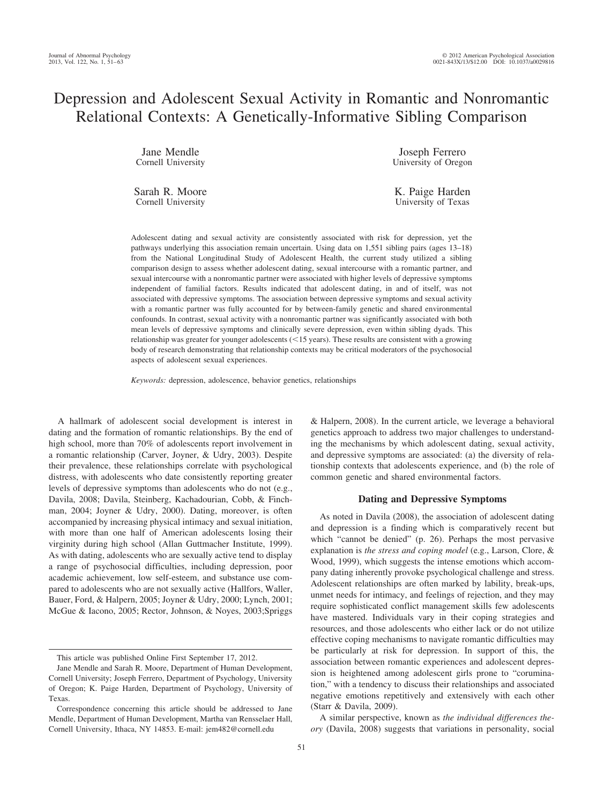# Depression and Adolescent Sexual Activity in Romantic and Nonromantic Relational Contexts: A Genetically-Informative Sibling Comparison

Jane Mendle Cornell University

Sarah R. Moore Cornell University

Joseph Ferrero University of Oregon

K. Paige Harden University of Texas

Adolescent dating and sexual activity are consistently associated with risk for depression, yet the pathways underlying this association remain uncertain. Using data on 1,551 sibling pairs (ages 13–18) from the National Longitudinal Study of Adolescent Health, the current study utilized a sibling comparison design to assess whether adolescent dating, sexual intercourse with a romantic partner, and sexual intercourse with a nonromantic partner were associated with higher levels of depressive symptoms independent of familial factors. Results indicated that adolescent dating, in and of itself, was not associated with depressive symptoms. The association between depressive symptoms and sexual activity with a romantic partner was fully accounted for by between-family genetic and shared environmental confounds. In contrast, sexual activity with a nonromantic partner was significantly associated with both mean levels of depressive symptoms and clinically severe depression, even within sibling dyads. This relationship was greater for younger adolescents  $(<15$  years). These results are consistent with a growing body of research demonstrating that relationship contexts may be critical moderators of the psychosocial aspects of adolescent sexual experiences.

*Keywords:* depression, adolescence, behavior genetics, relationships

A hallmark of adolescent social development is interest in dating and the formation of romantic relationships. By the end of high school, more than 70% of adolescents report involvement in a romantic relationship [\(Carver, Joyner, & Udry, 2003\)](#page-10-0). Despite their prevalence, these relationships correlate with psychological distress, with adolescents who date consistently reporting greater levels of depressive symptoms than adolescents who do not (e.g., [Davila, 2008;](#page-10-1) [Davila, Steinberg, Kachadourian, Cobb, & Finch](#page-10-2)[man, 2004;](#page-10-2) [Joyner & Udry, 2000\)](#page-11-0). Dating, moreover, is often accompanied by increasing physical intimacy and sexual initiation, with more than one half of American adolescents losing their virginity during high school [\(Allan Guttmacher Institute, 1999\)](#page-10-3). As with dating, adolescents who are sexually active tend to display a range of psychosocial difficulties, including depression, poor academic achievement, low self-esteem, and substance use compared to adolescents who are not sexually active [\(Hallfors, Waller,](#page-11-1) [Bauer, Ford, & Halpern, 2005;](#page-11-1) [Joyner & Udry, 2000;](#page-11-0) [Lynch, 2001;](#page-11-2) [McGue & Iacono, 2005;](#page-11-3) [Rector, Johnson, & Noyes, 2003](#page-12-0)[;Spriggs](#page-12-1)

[& Halpern, 2008\)](#page-12-1). In the current article, we leverage a behavioral genetics approach to address two major challenges to understanding the mechanisms by which adolescent dating, sexual activity, and depressive symptoms are associated: (a) the diversity of relationship contexts that adolescents experience, and (b) the role of common genetic and shared environmental factors.

# **Dating and Depressive Symptoms**

As noted in [Davila \(2008\),](#page-10-1) the association of adolescent dating and depression is a finding which is comparatively recent but which "cannot be denied" (p. 26). Perhaps the most pervasive explanation is *the stress and coping model* (e.g., [Larson, Clore, &](#page-11-4) [Wood, 1999\)](#page-11-4), which suggests the intense emotions which accompany dating inherently provoke psychological challenge and stress. Adolescent relationships are often marked by lability, break-ups, unmet needs for intimacy, and feelings of rejection, and they may require sophisticated conflict management skills few adolescents have mastered. Individuals vary in their coping strategies and resources, and those adolescents who either lack or do not utilize effective coping mechanisms to navigate romantic difficulties may be particularly at risk for depression. In support of this, the association between romantic experiences and adolescent depression is heightened among adolescent girls prone to "corumination," with a tendency to discuss their relationships and associated negative emotions repetitively and extensively with each other [\(Starr & Davila, 2009\)](#page-12-2).

A similar perspective, known as *the individual differences theory* [\(Davila, 2008\)](#page-10-1) suggests that variations in personality, social

This article was published Online First September 17, 2012.

Jane Mendle and Sarah R. Moore, Department of Human Development, Cornell University; Joseph Ferrero, Department of Psychology, University of Oregon; K. Paige Harden, Department of Psychology, University of Texas.

Correspondence concerning this article should be addressed to Jane Mendle, Department of Human Development, Martha van Rensselaer Hall, Cornell University, Ithaca, NY 14853. E-mail: [jem482@cornell.edu](mailto:jem482@cornell.edu)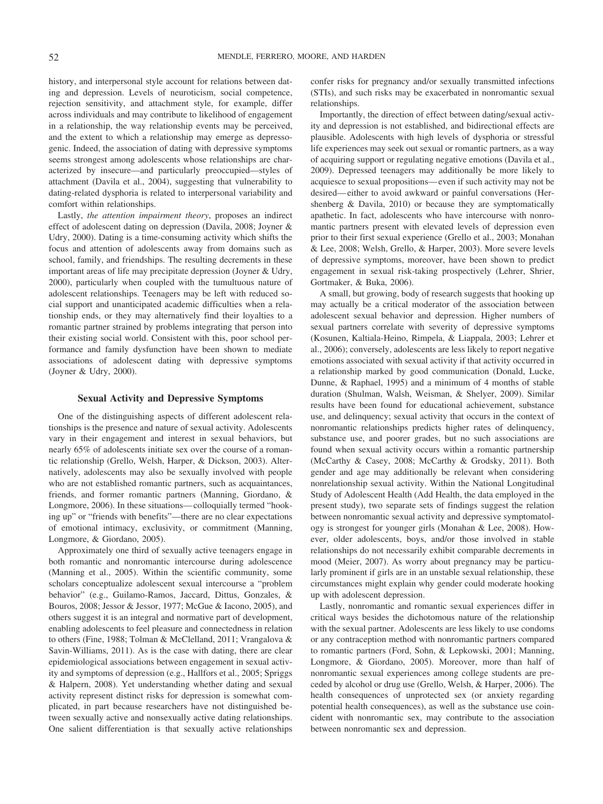history, and interpersonal style account for relations between dating and depression. Levels of neuroticism, social competence, rejection sensitivity, and attachment style, for example, differ across individuals and may contribute to likelihood of engagement in a relationship, the way relationship events may be perceived, and the extent to which a relationship may emerge as depressogenic. Indeed, the association of dating with depressive symptoms seems strongest among adolescents whose relationships are characterized by insecure—and particularly preoccupied—styles of attachment [\(Davila et al., 2004\)](#page-10-2), suggesting that vulnerability to dating-related dysphoria is related to interpersonal variability and comfort within relationships.

Lastly, *the attention impairment theory*, proposes an indirect effect of adolescent dating on depression [\(Davila, 2008;](#page-10-1) [Joyner &](#page-11-0) [Udry, 2000\)](#page-11-0). Dating is a time-consuming activity which shifts the focus and attention of adolescents away from domains such as school, family, and friendships. The resulting decrements in these important areas of life may precipitate depression [\(Joyner & Udry,](#page-11-0) [2000\)](#page-11-0), particularly when coupled with the tumultuous nature of adolescent relationships. Teenagers may be left with reduced social support and unanticipated academic difficulties when a relationship ends, or they may alternatively find their loyalties to a romantic partner strained by problems integrating that person into their existing social world. Consistent with this, poor school performance and family dysfunction have been shown to mediate associations of adolescent dating with depressive symptoms [\(Joyner & Udry, 2000\)](#page-11-0).

# **Sexual Activity and Depressive Symptoms**

One of the distinguishing aspects of different adolescent relationships is the presence and nature of sexual activity. Adolescents vary in their engagement and interest in sexual behaviors, but nearly 65% of adolescents initiate sex over the course of a romantic relationship [\(Grello, Welsh, Harper, & Dickson, 2003\)](#page-11-5). Alternatively, adolescents may also be sexually involved with people who are not established romantic partners, such as acquaintances, friends, and former romantic partners [\(Manning, Giordano, &](#page-11-6) [Longmore, 2006\)](#page-11-6). In these situations— colloquially termed "hooking up" or "friends with benefits"—there are no clear expectations of emotional intimacy, exclusivity, or commitment [\(Manning,](#page-11-7) [Longmore, & Giordano, 2005\)](#page-11-7).

Approximately one third of sexually active teenagers engage in both romantic and nonromantic intercourse during adolescence [\(Manning et al., 2005\)](#page-11-7). Within the scientific community, some scholars conceptualize adolescent sexual intercourse a "problem behavior" (e.g., [Guilamo-Ramos, Jaccard, Dittus, Gonzales, &](#page-11-8) [Bouros, 2008;](#page-11-8) [Jessor & Jessor, 1977;](#page-11-9) [McGue & Iacono, 2005\)](#page-11-3), and others suggest it is an integral and normative part of development, enabling adolescents to feel pleasure and connectedness in relation to others [\(Fine, 1988;](#page-11-10) [Tolman & McClelland, 2011;](#page-12-3) [Vrangalova &](#page-12-4) [Savin-Williams, 2011\)](#page-12-4). As is the case with dating, there are clear epidemiological associations between engagement in sexual activity and symptoms of depression (e.g., [Hallfors et al., 2005;](#page-11-1) [Spriggs](#page-12-1) [& Halpern, 2008\)](#page-12-1). Yet understanding whether dating and sexual activity represent distinct risks for depression is somewhat complicated, in part because researchers have not distinguished between sexually active and nonsexually active dating relationships. One salient differentiation is that sexually active relationships confer risks for pregnancy and/or sexually transmitted infections (STIs), and such risks may be exacerbated in nonromantic sexual relationships.

Importantly, the direction of effect between dating/sexual activity and depression is not established, and bidirectional effects are plausible. Adolescents with high levels of dysphoria or stressful life experiences may seek out sexual or romantic partners, as a way of acquiring support or regulating negative emotions [\(Davila et al.,](#page-10-4) [2009\)](#page-10-4). Depressed teenagers may additionally be more likely to acquiesce to sexual propositions— even if such activity may not be desired— either to avoid awkward or painful conversations [\(Her](#page-11-11)[shenberg & Davila, 2010\)](#page-11-11) or because they are symptomatically apathetic. In fact, adolescents who have intercourse with nonromantic partners present with elevated levels of depression even prior to their first sexual experience [\(Grello et al., 2003;](#page-11-5) [Monahan](#page-11-12) [& Lee, 2008;](#page-11-12) [Welsh, Grello, & Harper, 2003\)](#page-12-5). More severe levels of depressive symptoms, moreover, have been shown to predict engagement in sexual risk-taking prospectively [\(Lehrer, Shrier,](#page-11-13) [Gortmaker, & Buka, 2006\)](#page-11-13).

A small, but growing, body of research suggests that hooking up may actually be a critical moderator of the association between adolescent sexual behavior and depression. Higher numbers of sexual partners correlate with severity of depressive symptoms [\(Kosunen, Kaltiala-Heino, Rimpela, & Liappala, 2003;](#page-11-14) [Lehrer et](#page-11-13) [al., 2006\)](#page-11-13); conversely, adolescents are less likely to report negative emotions associated with sexual activity if that activity occurred in a relationship marked by good communication [\(Donald, Lucke,](#page-10-5) [Dunne, & Raphael, 1995\)](#page-10-5) and a minimum of 4 months of stable duration [\(Shulman, Walsh, Weisman, & Shelyer, 2009\)](#page-12-6). Similar results have been found for educational achievement, substance use, and delinquency; sexual activity that occurs in the context of nonromantic relationships predicts higher rates of delinquency, substance use, and poorer grades, but no such associations are found when sexual activity occurs within a romantic partnership [\(McCarthy & Casey, 2008;](#page-11-15) [McCarthy & Grodsky, 2011\)](#page-11-16). Both gender and age may additionally be relevant when considering nonrelationship sexual activity. Within the National Longitudinal Study of Adolescent Health (Add Health, the data employed in the present study), two separate sets of findings suggest the relation between nonromantic sexual activity and depressive symptomatology is strongest for younger girls [\(Monahan & Lee, 2008\)](#page-11-12). However, older adolescents, boys, and/or those involved in stable relationships do not necessarily exhibit comparable decrements in mood [\(Meier, 2007\)](#page-11-17). As worry about pregnancy may be particularly prominent if girls are in an unstable sexual relationship, these circumstances might explain why gender could moderate hooking up with adolescent depression.

Lastly, nonromantic and romantic sexual experiences differ in critical ways besides the dichotomous nature of the relationship with the sexual partner. Adolescents are less likely to use condoms or any contraception method with nonromantic partners compared to romantic partners (Ford, Sohn, & Lepkowski, 2001; [Manning,](#page-11-7) [Longmore, & Giordano, 2005\)](#page-11-7). Moreover, more than half of nonromantic sexual experiences among college students are preceded by alcohol or drug use [\(Grello, Welsh, & Harper, 2006\)](#page-11-18). The health consequences of unprotected sex (or anxiety regarding potential health consequences), as well as the substance use coincident with nonromantic sex, may contribute to the association between nonromantic sex and depression.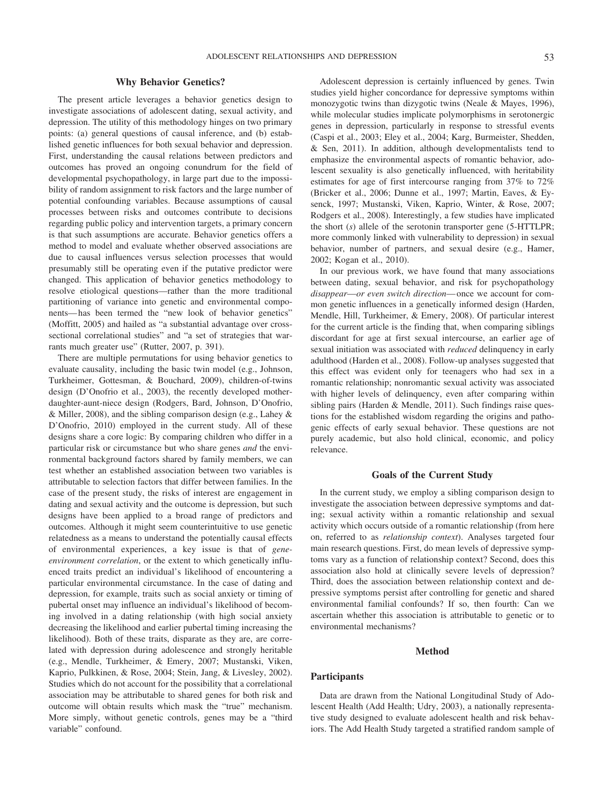# **Why Behavior Genetics?**

The present article leverages a behavior genetics design to investigate associations of adolescent dating, sexual activity, and depression. The utility of this methodology hinges on two primary points: (a) general questions of causal inference, and (b) established genetic influences for both sexual behavior and depression. First, understanding the causal relations between predictors and outcomes has proved an ongoing conundrum for the field of developmental psychopathology, in large part due to the impossibility of random assignment to risk factors and the large number of potential confounding variables. Because assumptions of causal processes between risks and outcomes contribute to decisions regarding public policy and intervention targets, a primary concern is that such assumptions are accurate. Behavior genetics offers a method to model and evaluate whether observed associations are due to causal influences versus selection processes that would presumably still be operating even if the putative predictor were changed. This application of behavior genetics methodology to resolve etiological questions—rather than the more traditional partitioning of variance into genetic and environmental components— has been termed the "new look of behavior genetics" (Moffitt, 2005) and hailed as "a substantial advantage over crosssectional correlational studies" and "a set of strategies that warrants much greater use" [\(Rutter, 2007, p. 391\)](#page-12-7).

There are multiple permutations for using behavior genetics to evaluate causality, including the basic twin model (e.g., [Johnson,](#page-11-19) [Turkheimer, Gottesman, & Bouchard, 2009\)](#page-11-19), children-of-twins design [\(D'Onofrio et al., 2003\)](#page-10-6), the recently developed motherdaughter-aunt-niece design [\(Rodgers, Bard, Johnson, D'Onofrio,](#page-12-8) [& Miller, 2008\)](#page-12-8), and the sibling comparison design (e.g., [Lahey &](#page-11-20) [D'Onofrio, 2010\)](#page-11-20) employed in the current study. All of these designs share a core logic: By comparing children who differ in a particular risk or circumstance but who share genes *and* the environmental background factors shared by family members, we can test whether an established association between two variables is attributable to selection factors that differ between families. In the case of the present study, the risks of interest are engagement in dating and sexual activity and the outcome is depression, but such designs have been applied to a broad range of predictors and outcomes. Although it might seem counterintuitive to use genetic relatedness as a means to understand the potentially causal effects of environmental experiences, a key issue is that of *geneenvironment correlation*, or the extent to which genetically influenced traits predict an individual's likelihood of encountering a particular environmental circumstance. In the case of dating and depression, for example, traits such as social anxiety or timing of pubertal onset may influence an individual's likelihood of becoming involved in a dating relationship (with high social anxiety decreasing the likelihood and earlier pubertal timing increasing the likelihood). Both of these traits, disparate as they are, are correlated with depression during adolescence and strongly heritable (e.g., [Mendle, Turkheimer, & Emery, 2007;](#page-11-21) [Mustanski, Viken,](#page-11-22) [Kaprio, Pulkkinen, & Rose, 2004;](#page-11-22) [Stein, Jang, & Livesley, 2002\)](#page-12-9). Studies which do not account for the possibility that a correlational association may be attributable to shared genes for both risk and outcome will obtain results which mask the "true" mechanism. More simply, without genetic controls, genes may be a "third variable" confound.

Adolescent depression is certainly influenced by genes. Twin studies yield higher concordance for depressive symptoms within monozygotic twins than dizygotic twins [\(Neale & Mayes, 1996\)](#page-11-23), while molecular studies implicate polymorphisms in serotonergic genes in depression, particularly in response to stressful events [\(Caspi et al., 2003;](#page-10-7) [Eley et al., 2004;](#page-11-24) [Karg, Burmeister, Shedden,](#page-11-25) [& Sen, 2011\)](#page-11-25). In addition, although developmentalists tend to emphasize the environmental aspects of romantic behavior, adolescent sexuality is also genetically influenced, with heritability estimates for age of first intercourse ranging from 37% to 72% [\(Bricker et al., 2006;](#page-10-8) [Dunne et al., 1997;](#page-10-9) [Martin, Eaves, & Ey](#page-11-26)[senck, 1997;](#page-11-26) [Mustanski, Viken, Kaprio, Winter, & Rose, 2007;](#page-11-27) [Rodgers et al., 2008\)](#page-12-8). Interestingly, a few studies have implicated the short (*s*) allele of the serotonin transporter gene (5-HTTLPR; more commonly linked with vulnerability to depression) in sexual behavior, number of partners, and sexual desire (e.g., [Hamer,](#page-11-28) [2002;](#page-11-28) [Kogan et al., 2010\)](#page-11-29).

In our previous work, we have found that many associations between dating, sexual behavior, and risk for psychopathology *disappear*—*or even switch direction*— once we account for common genetic influences in a genetically informed design [\(Harden,](#page-11-30) [Mendle, Hill, Turkheimer, & Emery, 2008\)](#page-11-30). Of particular interest for the current article is the finding that, when comparing siblings discordant for age at first sexual intercourse, an earlier age of sexual initiation was associated with *reduced* delinquency in early adulthood [\(Harden et al., 2008\)](#page-11-30). Follow-up analyses suggested that this effect was evident only for teenagers who had sex in a romantic relationship; nonromantic sexual activity was associated with higher levels of delinquency, even after comparing within sibling pairs [\(Harden & Mendle, 2011\)](#page-11-31). Such findings raise questions for the established wisdom regarding the origins and pathogenic effects of early sexual behavior. These questions are not purely academic, but also hold clinical, economic, and policy relevance.

# **Goals of the Current Study**

In the current study, we employ a sibling comparison design to investigate the association between depressive symptoms and dating; sexual activity within a romantic relationship and sexual activity which occurs outside of a romantic relationship (from here on, referred to as *relationship context*). Analyses targeted four main research questions. First, do mean levels of depressive symptoms vary as a function of relationship context? Second, does this association also hold at clinically severe levels of depression? Third, does the association between relationship context and depressive symptoms persist after controlling for genetic and shared environmental familial confounds? If so, then fourth: Can we ascertain whether this association is attributable to genetic or to environmental mechanisms?

# **Method**

# **Participants**

Data are drawn from the National Longitudinal Study of Adolescent Health (Add Health; [Udry, 2003\)](#page-12-10), a nationally representative study designed to evaluate adolescent health and risk behaviors. The Add Health Study targeted a stratified random sample of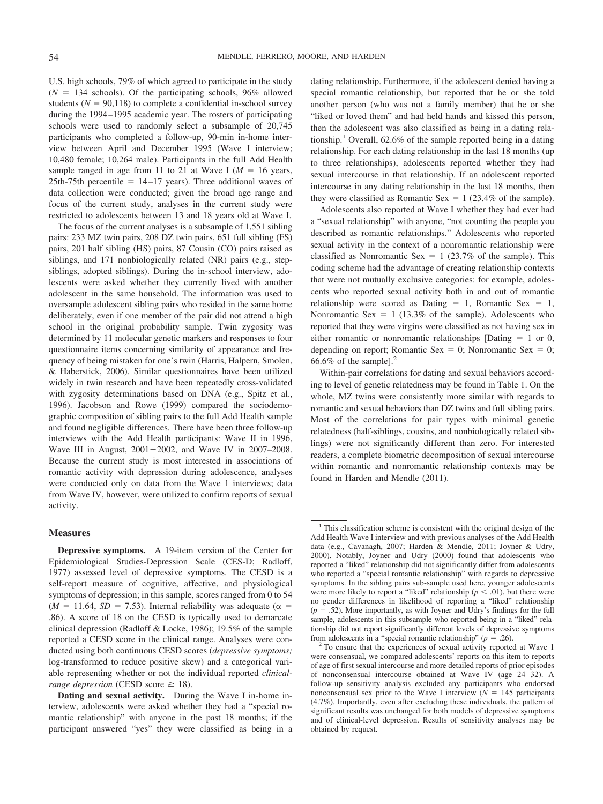U.S. high schools, 79% of which agreed to participate in the study  $(N = 134$  schools). Of the participating schools, 96% allowed students ( $N = 90,118$ ) to complete a confidential in-school survey during the 1994 –1995 academic year. The rosters of participating schools were used to randomly select a subsample of 20,745 participants who completed a follow-up, 90-min in-home interview between April and December 1995 (Wave I interview; 10,480 female; 10,264 male). Participants in the full Add Health sample ranged in age from 11 to 21 at Wave I  $(M = 16$  years,  $25th-75th$  percentile =  $14-17$  years). Three additional waves of data collection were conducted; given the broad age range and focus of the current study, analyses in the current study were restricted to adolescents between 13 and 18 years old at Wave I.

The focus of the current analyses is a subsample of 1,551 sibling pairs: 233 MZ twin pairs, 208 DZ twin pairs, 651 full sibling (FS) pairs, 201 half sibling (HS) pairs, 87 Cousin (CO) pairs raised as siblings, and 171 nonbiologically related (NR) pairs (e.g., stepsiblings, adopted siblings). During the in-school interview, adolescents were asked whether they currently lived with another adolescent in the same household. The information was used to oversample adolescent sibling pairs who resided in the same home deliberately, even if one member of the pair did not attend a high school in the original probability sample. Twin zygosity was determined by 11 molecular genetic markers and responses to four questionnaire items concerning similarity of appearance and frequency of being mistaken for one's twin [\(Harris, Halpern, Smolen,](#page-11-32) [& Haberstick, 2006\)](#page-11-32). Similar questionnaires have been utilized widely in twin research and have been repeatedly cross-validated with zygosity determinations based on DNA (e.g., [Spitz et al.,](#page-12-11) [1996\)](#page-12-11). [Jacobson and Rowe \(1999\)](#page-11-33) compared the sociodemographic composition of sibling pairs to the full Add Health sample and found negligible differences. There have been three follow-up interviews with the Add Health participants: Wave II in 1996, Wave III in August,  $2001-2002$ , and Wave IV in 2007–2008. Because the current study is most interested in associations of romantic activity with depression during adolescence, analyses were conducted only on data from the Wave 1 interviews; data from Wave IV, however, were utilized to confirm reports of sexual activity.

# **Measures**

**Depressive symptoms.** A 19-item version of the Center for Epidemiological Studies-Depression Scale (CES-D; [Radloff,](#page-11-34) [1977\)](#page-11-34) assessed level of depressive symptoms. The CESD is a self-report measure of cognitive, affective, and physiological symptoms of depression; in this sample, scores ranged from 0 to 54  $(M = 11.64, SD = 7.53)$ . Internal reliability was adequate ( $\alpha$  = .86). A score of 18 on the CESD is typically used to demarcate clinical depression [\(Radloff & Locke, 1986\)](#page-11-35); 19.5% of the sample reported a CESD score in the clinical range. Analyses were conducted using both continuous CESD scores (*depressive symptoms;* log-transformed to reduce positive skew) and a categorical variable representing whether or not the individual reported *clinicalrange depression* (CESD score  $\geq$  18).

**Dating and sexual activity.** During the Wave I in-home interview, adolescents were asked whether they had a "special romantic relationship" with anyone in the past 18 months; if the participant answered "yes" they were classified as being in a dating relationship. Furthermore, if the adolescent denied having a special romantic relationship, but reported that he or she told another person (who was not a family member) that he or she "liked or loved them" and had held hands and kissed this person, then the adolescent was also classified as being in a dating relationship.<sup>1</sup> Overall,  $62.6\%$  of the sample reported being in a dating relationship. For each dating relationship in the last 18 months (up to three relationships), adolescents reported whether they had sexual intercourse in that relationship. If an adolescent reported intercourse in any dating relationship in the last 18 months, then they were classified as Romantic Sex =  $1$  (23.4% of the sample).

Adolescents also reported at Wave I whether they had ever had a "sexual relationship" with anyone, "not counting the people you described as romantic relationships." Adolescents who reported sexual activity in the context of a nonromantic relationship were classified as Nonromantic Sex =  $1$  (23.7% of the sample). This coding scheme had the advantage of creating relationship contexts that were not mutually exclusive categories: for example, adolescents who reported sexual activity both in and out of romantic relationship were scored as Dating  $= 1$ , Romantic Sex  $= 1$ , Nonromantic Sex  $= 1$  (13.3% of the sample). Adolescents who reported that they were virgins were classified as not having sex in either romantic or nonromantic relationships [Dating  $= 1$  or 0, depending on report; Romantic Sex = 0; Nonromantic Sex = 0; 66.6% of the sample].<sup>2</sup>

Within-pair correlations for dating and sexual behaviors according to level of genetic relatedness may be found in [Table 1.](#page-4-0) On the whole, MZ twins were consistently more similar with regards to romantic and sexual behaviors than DZ twins and full sibling pairs. Most of the correlations for pair types with minimal genetic relatedness (half-siblings, cousins, and nonbiologically related siblings) were not significantly different than zero. For interested readers, a complete biometric decomposition of sexual intercourse within romantic and nonromantic relationship contexts may be found in [Harden and Mendle \(2011\).](#page-11-31)

<sup>&</sup>lt;sup>1</sup> This classification scheme is consistent with the original design of the Add Health Wave I interview and with previous analyses of the Add Health data (e.g., [Cavanagh, 2007;](#page-10-10) [Harden & Mendle, 2011;](#page-11-31) [Joyner & Udry,](#page-11-0) [2000\)](#page-11-0). Notably, [Joyner and Udry \(2000\)](#page-11-0) found that adolescents who reported a "liked" relationship did not significantly differ from adolescents who reported a "special romantic relationship" with regards to depressive symptoms. In the sibling pairs sub-sample used here, younger adolescents were more likely to report a "liked" relationship ( $p < .01$ ), but there were no gender differences in likelihood of reporting a "liked" relationship  $(p = .52)$ . More importantly, as with Joyner and Udry's findings for the full sample, adolescents in this subsample who reported being in a "liked" relationship did not report significantly different levels of depressive symptoms from adolescents in a "special romantic relationship" ( $p = .26$ ).

 $2$  To ensure that the experiences of sexual activity reported at Wave 1 were consensual, we compared adolescents' reports on this item to reports of age of first sexual intercourse and more detailed reports of prior episodes of nonconsensual intercourse obtained at Wave IV (age 24 –32). A follow-up sensitivity analysis excluded any participants who endorsed nonconsensual sex prior to the Wave I interview  $(N = 145$  participants (4.7%). Importantly, even after excluding these individuals, the pattern of significant results was unchanged for both models of depressive symptoms and of clinical-level depression. Results of sensitivity analyses may be obtained by request.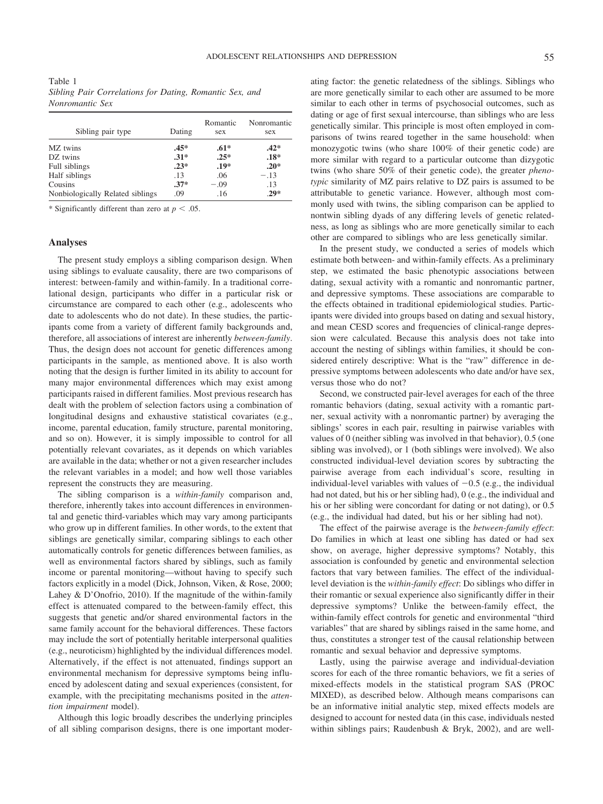<span id="page-4-0"></span>Table 1 *Sibling Pair Correlations for Dating, Romantic Sex, and Nonromantic Sex*

| Sibling pair type                | Dating | Romantic<br>sex | Nonromantic<br>sex |
|----------------------------------|--------|-----------------|--------------------|
| MZ twins                         | $.45*$ | $.61*$          | $.42*$             |
| DZ twins                         | $.31*$ | $.25*$          | $.18*$             |
| Full siblings                    | $.23*$ | $.19*$          | $.20*$             |
| Half siblings                    | .13    | .06             | $-.13$             |
| Cousins                          | $.37*$ | $-.09$          | .13                |
| Nonbiologically Related siblings | .09    | .16             | $.29*$             |

\* Significantly different than zero at  $p < .05$ .

#### **Analyses**

The present study employs a sibling comparison design. When using siblings to evaluate causality, there are two comparisons of interest: between-family and within-family. In a traditional correlational design, participants who differ in a particular risk or circumstance are compared to each other (e.g., adolescents who date to adolescents who do not date). In these studies, the participants come from a variety of different family backgrounds and, therefore, all associations of interest are inherently *between-family*. Thus, the design does not account for genetic differences among participants in the sample, as mentioned above. It is also worth noting that the design is further limited in its ability to account for many major environmental differences which may exist among participants raised in different families. Most previous research has dealt with the problem of selection factors using a combination of longitudinal designs and exhaustive statistical covariates (e.g., income, parental education, family structure, parental monitoring, and so on). However, it is simply impossible to control for all potentially relevant covariates, as it depends on which variables are available in the data; whether or not a given researcher includes the relevant variables in a model; and how well those variables represent the constructs they are measuring.

The sibling comparison is a *within-family* comparison and, therefore, inherently takes into account differences in environmental and genetic third-variables which may vary among participants who grow up in different families. In other words, to the extent that siblings are genetically similar, comparing siblings to each other automatically controls for genetic differences between families, as well as environmental factors shared by siblings, such as family income or parental monitoring—without having to specify such factors explicitly in a model [\(Dick, Johnson, Viken, & Rose, 2000;](#page-10-11) [Lahey & D'Onofrio, 2010\)](#page-11-20). If the magnitude of the within-family effect is attenuated compared to the between-family effect, this suggests that genetic and/or shared environmental factors in the same family account for the behavioral differences. These factors may include the sort of potentially heritable interpersonal qualities (e.g., neuroticism) highlighted by the individual differences model. Alternatively, if the effect is not attenuated, findings support an environmental mechanism for depressive symptoms being influenced by adolescent dating and sexual experiences (consistent, for example, with the precipitating mechanisms posited in the *attention impairment* model).

Although this logic broadly describes the underlying principles of all sibling comparison designs, there is one important moderating factor: the genetic relatedness of the siblings. Siblings who are more genetically similar to each other are assumed to be more similar to each other in terms of psychosocial outcomes, such as dating or age of first sexual intercourse, than siblings who are less genetically similar. This principle is most often employed in comparisons of twins reared together in the same household: when monozygotic twins (who share 100% of their genetic code) are more similar with regard to a particular outcome than dizygotic twins (who share 50% of their genetic code), the greater *phenotypic* similarity of MZ pairs relative to DZ pairs is assumed to be attributable to genetic variance. However, although most commonly used with twins, the sibling comparison can be applied to nontwin sibling dyads of any differing levels of genetic relatedness, as long as siblings who are more genetically similar to each other are compared to siblings who are less genetically similar.

In the present study, we conducted a series of models which estimate both between- and within-family effects. As a preliminary step, we estimated the basic phenotypic associations between dating, sexual activity with a romantic and nonromantic partner, and depressive symptoms. These associations are comparable to the effects obtained in traditional epidemiological studies. Participants were divided into groups based on dating and sexual history, and mean CESD scores and frequencies of clinical-range depression were calculated. Because this analysis does not take into account the nesting of siblings within families, it should be considered entirely descriptive: What is the "raw" difference in depressive symptoms between adolescents who date and/or have sex, versus those who do not?

Second, we constructed pair-level averages for each of the three romantic behaviors (dating, sexual activity with a romantic partner, sexual activity with a nonromantic partner) by averaging the siblings' scores in each pair, resulting in pairwise variables with values of 0 (neither sibling was involved in that behavior), 0.5 (one sibling was involved), or 1 (both siblings were involved). We also constructed individual-level deviation scores by subtracting the pairwise average from each individual's score, resulting in individual-level variables with values of  $-0.5$  (e.g., the individual had not dated, but his or her sibling had), 0 (e.g., the individual and his or her sibling were concordant for dating or not dating), or 0.5 (e.g., the individual had dated, but his or her sibling had not).

The effect of the pairwise average is the *between-family effect*: Do families in which at least one sibling has dated or had sex show, on average, higher depressive symptoms? Notably, this association is confounded by genetic and environmental selection factors that vary between families. The effect of the individuallevel deviation is the *within-family effect*: Do siblings who differ in their romantic or sexual experience also significantly differ in their depressive symptoms? Unlike the between-family effect, the within-family effect controls for genetic and environmental "third variables" that are shared by siblings raised in the same home, and thus, constitutes a stronger test of the causal relationship between romantic and sexual behavior and depressive symptoms.

Lastly, using the pairwise average and individual-deviation scores for each of the three romantic behaviors, we fit a series of mixed-effects models in the statistical program SAS (PROC MIXED), as described below. Although means comparisons can be an informative initial analytic step, mixed effects models are designed to account for nested data (in this case, individuals nested within siblings pairs; [Raudenbush & Bryk, 2002\)](#page-12-12), and are well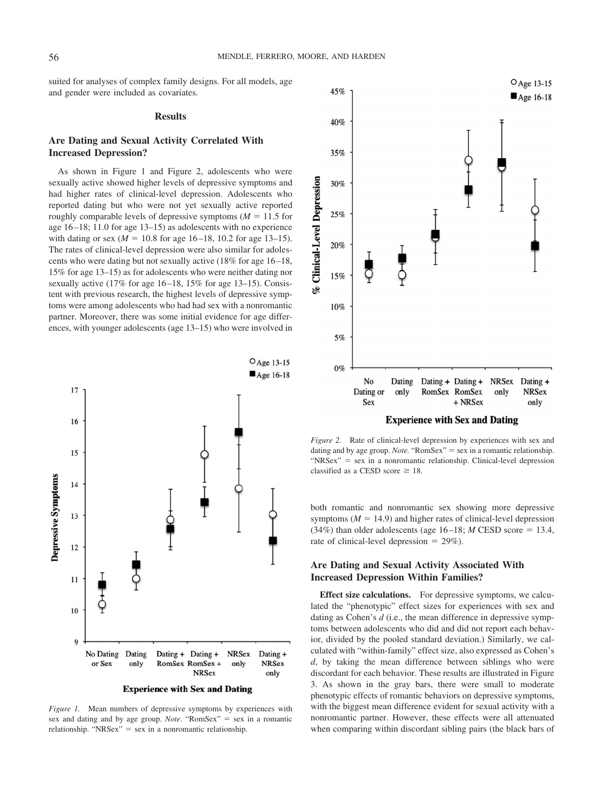suited for analyses of complex family designs. For all models, age and gender were included as covariates.

# **Results**

# **Are Dating and Sexual Activity Correlated With Increased Depression?**

As shown in [Figure 1](#page-5-0) and [Figure 2,](#page-5-1) adolescents who were sexually active showed higher levels of depressive symptoms and had higher rates of clinical-level depression. Adolescents who reported dating but who were not yet sexually active reported roughly comparable levels of depressive symptoms  $(M = 11.5$  for age 16 –18; 11.0 for age 13–15) as adolescents with no experience with dating or sex ( $M = 10.8$  for age 16–18, 10.2 for age 13–15). The rates of clinical-level depression were also similar for adolescents who were dating but not sexually active (18% for age 16 –18, 15% for age 13–15) as for adolescents who were neither dating nor sexually active (17% for age 16 –18, 15% for age 13–15). Consistent with previous research, the highest levels of depressive symptoms were among adolescents who had had sex with a nonromantic partner. Moreover, there was some initial evidence for age differences, with younger adolescents (age 13–15) who were involved in



<span id="page-5-0"></span>*Figure 1.* Mean numbers of depressive symptoms by experiences with sex and dating and by age group. *Note*. "RomSex" = sex in a romantic relationship. "NRSex" = sex in a nonromantic relationship.



<span id="page-5-1"></span>*Figure 2.* Rate of clinical-level depression by experiences with sex and dating and by age group. *Note*. "RomSex" = sex in a romantic relationship. "NRSex" = sex in a nonromantic relationship. Clinical-level depression classified as a CESD score  $\geq$  18.

both romantic and nonromantic sex showing more depressive symptoms  $(M = 14.9)$  and higher rates of clinical-level depression  $(34\%)$  than older adolescents (age 16–18; *M* CESD score = 13.4, rate of clinical-level depression  $= 29\%$ ).

# **Are Dating and Sexual Activity Associated With Increased Depression Within Families?**

**Effect size calculations.** For depressive symptoms, we calculated the "phenotypic" effect sizes for experiences with sex and dating as Cohen's *d* (i.e., the mean difference in depressive symptoms between adolescents who did and did not report each behavior, divided by the pooled standard deviation.) Similarly, we calculated with "within-family" effect size, also expressed as Cohen's *d*, by taking the mean difference between siblings who were discordant for each behavior. These results are illustrated in [Figure](#page-6-0) [3.](#page-6-0) As shown in the gray bars, there were small to moderate phenotypic effects of romantic behaviors on depressive symptoms, with the biggest mean difference evident for sexual activity with a nonromantic partner. However, these effects were all attenuated when comparing within discordant sibling pairs (the black bars of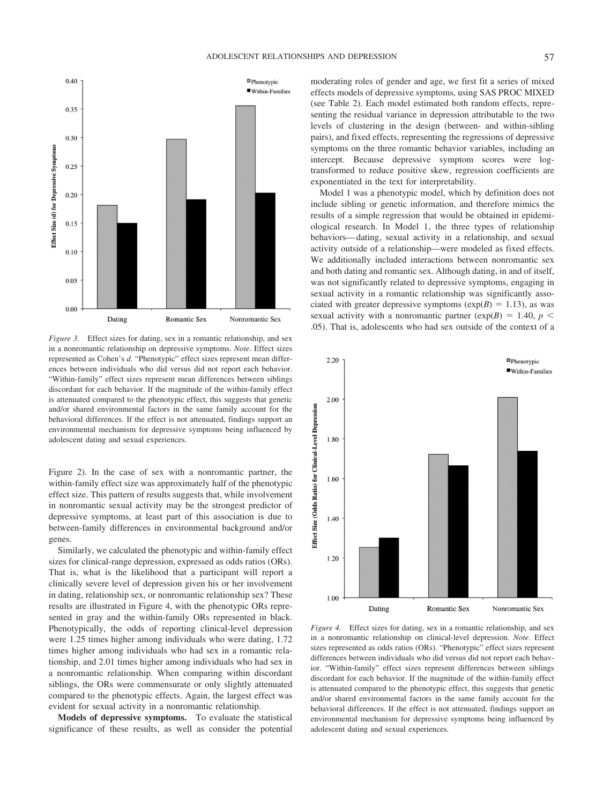

<span id="page-6-0"></span>*Figure 3.* Effect sizes for dating, sex in a romantic relationship, and sex in a nonromantic relationship on depressive symptoms. *Note*. Effect sizes represented as Cohen's *d*. "Phenotypic" effect sizes represent mean differences between individuals who did versus did not report each behavior. "Within-family" effect sizes represent mean differences between siblings discordant for each behavior. If the magnitude of the within-family effect is attenuated compared to the phenotypic effect, this suggests that genetic and/or shared environmental factors in the same family account for the behavioral differences. If the effect is not attenuated, findings support an environmental mechanism for depressive symptoms being influenced by adolescent dating and sexual experiences.

[Figure 2\)](#page-5-1). In the case of sex with a nonromantic partner, the within-family effect size was approximately half of the phenotypic effect size. This pattern of results suggests that, while involvement in nonromantic sexual activity may be the strongest predictor of depressive symptoms, at least part of this association is due to between-family differences in environmental background and/or genes.

Similarly, we calculated the phenotypic and within-family effect sizes for clinical-range depression, expressed as odds ratios (ORs). That is, what is the likelihood that a participant will report a clinically severe level of depression given his or her involvement in dating, relationship sex, or nonromantic relationship sex? These results are illustrated in [Figure 4,](#page-6-1) with the phenotypic ORs represented in gray and the within-family ORs represented in black. Phenotypically, the odds of reporting clinical-level depression were 1.25 times higher among individuals who were dating, 1.72 times higher among individuals who had sex in a romantic relationship, and 2.01 times higher among individuals who had sex in a nonromantic relationship. When comparing within discordant siblings, the ORs were commensurate or only slightly attenuated compared to the phenotypic effects. Again, the largest effect was evident for sexual activity in a nonromantic relationship.

**Models of depressive symptoms.** To evaluate the statistical significance of these results, as well as consider the potential

moderating roles of gender and age, we first fit a series of mixed effects models of depressive symptoms, using SAS PROC MIXED (see [Table 2\)](#page-7-0). Each model estimated both random effects, representing the residual variance in depression attributable to the two levels of clustering in the design (between- and within-sibling pairs), and fixed effects, representing the regressions of depressive symptoms on the three romantic behavior variables, including an intercept. Because depressive symptom scores were logtransformed to reduce positive skew, regression coefficients are exponentiated in the text for interpretability.

Model 1 was a phenotypic model, which by definition does not include sibling or genetic information, and therefore mimics the results of a simple regression that would be obtained in epidemiological research. In Model 1, the three types of relationship behaviors— dating, sexual activity in a relationship, and sexual activity outside of a relationship—were modeled as fixed effects. We additionally included interactions between nonromantic sex and both dating and romantic sex. Although dating, in and of itself, was not significantly related to depressive symptoms, engaging in sexual activity in a romantic relationship was significantly associated with greater depressive symptoms  $(exp(B) = 1.13)$ , as was sexual activity with a nonromantic partner ( $exp(B) = 1.40$ ,  $p <$ .05). That is, adolescents who had sex outside of the context of a



<span id="page-6-1"></span>*Figure 4.* Effect sizes for dating, sex in a romantic relationship, and sex in a nonromantic relationship on clinical-level depression. *Note*. Effect sizes represented as odds ratios (ORs). "Phenotypic" effect sizes represent differences between individuals who did versus did not report each behavior. "Within-family" effect sizes represent differences between siblings discordant for each behavior. If the magnitude of the within-family effect is attenuated compared to the phenotypic effect, this suggests that genetic and/or shared environmental factors in the same family account for the behavioral differences. If the effect is not attenuated, findings support an environmental mechanism for depressive symptoms being influenced by adolescent dating and sexual experiences.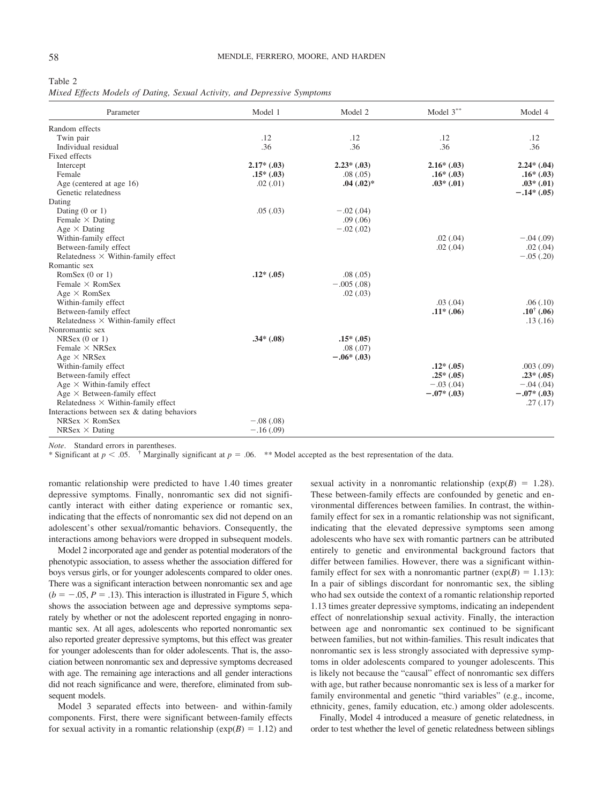<span id="page-7-0"></span>Table 2

|  | Mixed Effects Models of Dating, Sexual Activity, and Depressive Symptoms |  |  |  |
|--|--------------------------------------------------------------------------|--|--|--|
|  |                                                                          |  |  |  |

| Parameter                                   | Model 1       | Model 2      | Model $3**$   | Model 4         |
|---------------------------------------------|---------------|--------------|---------------|-----------------|
| Random effects                              |               |              |               |                 |
| Twin pair                                   | .12           | .12          | .12           | .12             |
| Individual residual                         | .36           | .36          | .36           | .36             |
| Fixed effects                               |               |              |               |                 |
| Intercept                                   | $2.17*(0.03)$ | $2.23*(.03)$ | $2.16*(0.03)$ | $2.24*(.04)$    |
| Female                                      | $.15*(.03)$   | .08(.05)     | $.16*(.03)$   | $.16*(.03)$     |
| Age (centered at age 16)                    | .02(0.01)     | $.04(.02)*$  | $.03*(.01)$   | $.03*(.01)$     |
| Genetic relatedness                         |               |              |               | $-.14*(.05)$    |
| Dating                                      |               |              |               |                 |
| Dating $(0 \text{ or } 1)$                  | .05(.03)      | $-.02(.04)$  |               |                 |
| Female $\times$ Dating                      |               | .09(.06)     |               |                 |
| Age $\times$ Dating                         |               | $-.02(.02)$  |               |                 |
| Within-family effect                        |               |              | .02(0.04)     | $-.04(.09)$     |
| Between-family effect                       |               |              | .02(.04)      | .02(.04)        |
| Relatedness $\times$ Within-family effect   |               |              |               | $-.05(.20)$     |
| Romantic sex                                |               |              |               |                 |
| RomSex $(0 \text{ or } 1)$                  | $.12*(.05)$   | .08(.05)     |               |                 |
| Female $\times$ RomSex                      |               | $-.005(.08)$ |               |                 |
| Age $\times$ RomSex                         |               | .02(.03)     |               |                 |
| Within-family effect                        |               |              | .03(0.04)     | .06(.10)        |
| Between-family effect                       |               |              | $.11*(.06)$   | $.10^{+}$ (.06) |
| Relatedness $\times$ Within-family effect   |               |              |               | .13(.16)        |
| Nonromantic sex                             |               |              |               |                 |
| NRSex $(0 \text{ or } 1)$                   | $.34*(.08)$   | $.15*(.05)$  |               |                 |
| Female $\times$ NRSex                       |               | .08(.07)     |               |                 |
| $Age \times NRSex$                          |               | $-.06*(.03)$ |               |                 |
| Within-family effect                        |               |              | $.12*(.05)$   | .003(.09)       |
| Between-family effect                       |               |              | $.25*(.05)$   | $.23*(.05)$     |
| Age $\times$ Within-family effect           |               |              | $-.03(.04)$   | $-.04(.04)$     |
| Age $\times$ Between-family effect          |               |              | $-.07*(.03)$  | $-.07*(.03)$    |
| Relatedness $\times$ Within-family effect   |               |              |               | .27(.17)        |
| Interactions between sex & dating behaviors |               |              |               |                 |
| $NRSex \times RomSex$                       | $-.08(.08)$   |              |               |                 |
| NRSex $\times$ Dating                       | $-.16(.09)$   |              |               |                 |

*Note*. Standard errors in parentheses.

\* Significant at  $p < .05$ . <sup>†</sup> Marginally significant at  $p = .06$ . \*\* Model accepted as the best representation of the data.

romantic relationship were predicted to have 1.40 times greater depressive symptoms. Finally, nonromantic sex did not significantly interact with either dating experience or romantic sex, indicating that the effects of nonromantic sex did not depend on an adolescent's other sexual/romantic behaviors. Consequently, the interactions among behaviors were dropped in subsequent models.

Model 2 incorporated age and gender as potential moderators of the phenotypic association, to assess whether the association differed for boys versus girls, or for younger adolescents compared to older ones. There was a significant interaction between nonromantic sex and age  $(b = -.05, P = .13)$ . This interaction is illustrated in [Figure 5,](#page-8-0) which shows the association between age and depressive symptoms separately by whether or not the adolescent reported engaging in nonromantic sex. At all ages, adolescents who reported nonromantic sex also reported greater depressive symptoms, but this effect was greater for younger adolescents than for older adolescents. That is, the association between nonromantic sex and depressive symptoms decreased with age. The remaining age interactions and all gender interactions did not reach significance and were, therefore, eliminated from subsequent models.

Model 3 separated effects into between- and within-family components. First, there were significant between-family effects for sexual activity in a romantic relationship ( $exp(B) = 1.12$ ) and

sexual activity in a nonromantic relationship ( $exp(B) = 1.28$ ). These between-family effects are confounded by genetic and environmental differences between families. In contrast, the withinfamily effect for sex in a romantic relationship was not significant, indicating that the elevated depressive symptoms seen among adolescents who have sex with romantic partners can be attributed entirely to genetic and environmental background factors that differ between families. However, there was a significant withinfamily effect for sex with a nonromantic partner  $(exp(B) = 1.13)$ : In a pair of siblings discordant for nonromantic sex, the sibling who had sex outside the context of a romantic relationship reported 1.13 times greater depressive symptoms, indicating an independent effect of nonrelationship sexual activity. Finally, the interaction between age and nonromantic sex continued to be significant between families, but not within-families. This result indicates that nonromantic sex is less strongly associated with depressive symptoms in older adolescents compared to younger adolescents. This is likely not because the "causal" effect of nonromantic sex differs with age, but rather because nonromantic sex is less of a marker for family environmental and genetic "third variables" (e.g., income, ethnicity, genes, family education, etc.) among older adolescents.

Finally, Model 4 introduced a measure of genetic relatedness, in order to test whether the level of genetic relatedness between siblings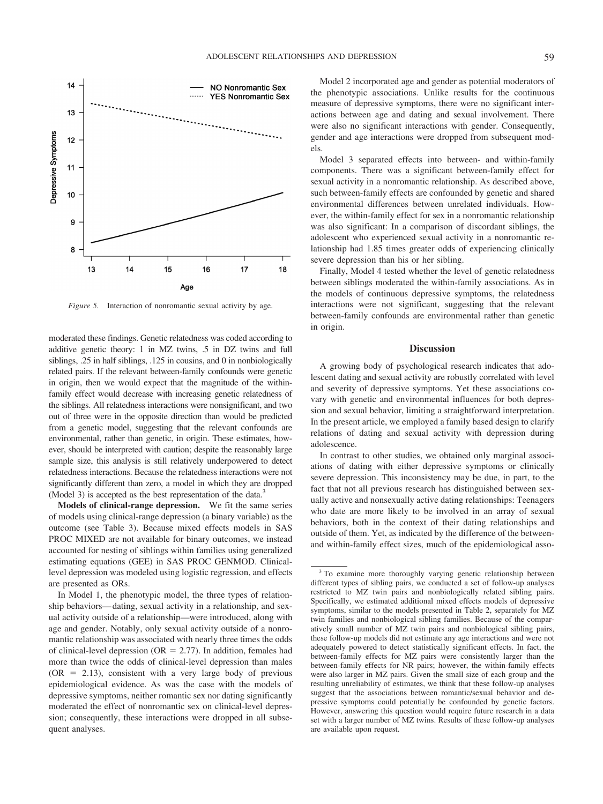

<span id="page-8-0"></span>*Figure 5.* Interaction of nonromantic sexual activity by age.

moderated these findings. Genetic relatedness was coded according to additive genetic theory: 1 in MZ twins, .5 in DZ twins and full siblings, .25 in half siblings, .125 in cousins, and 0 in nonbiologically related pairs. If the relevant between-family confounds were genetic in origin, then we would expect that the magnitude of the withinfamily effect would decrease with increasing genetic relatedness of the siblings. All relatedness interactions were nonsignificant, and two out of three were in the opposite direction than would be predicted from a genetic model, suggesting that the relevant confounds are environmental, rather than genetic, in origin. These estimates, however, should be interpreted with caution; despite the reasonably large sample size, this analysis is still relatively underpowered to detect relatedness interactions. Because the relatedness interactions were not significantly different than zero, a model in which they are dropped (Model 3) is accepted as the best representation of the data.<sup>3</sup>

**Models of clinical-range depression.** We fit the same series of models using clinical-range depression (a binary variable) as the outcome (see [Table 3\)](#page-9-0). Because mixed effects models in SAS PROC MIXED are not available for binary outcomes, we instead accounted for nesting of siblings within families using generalized estimating equations (GEE) in SAS PROC GENMOD. Clinicallevel depression was modeled using logistic regression, and effects are presented as ORs.

In Model 1, the phenotypic model, the three types of relationship behaviors— dating, sexual activity in a relationship, and sexual activity outside of a relationship—were introduced, along with age and gender. Notably, only sexual activity outside of a nonromantic relationship was associated with nearly three times the odds of clinical-level depression ( $OR = 2.77$ ). In addition, females had more than twice the odds of clinical-level depression than males  $(OR = 2.13)$ , consistent with a very large body of previous epidemiological evidence. As was the case with the models of depressive symptoms, neither romantic sex nor dating significantly moderated the effect of nonromantic sex on clinical-level depression; consequently, these interactions were dropped in all subsequent analyses.

Model 2 incorporated age and gender as potential moderators of the phenotypic associations. Unlike results for the continuous measure of depressive symptoms, there were no significant interactions between age and dating and sexual involvement. There were also no significant interactions with gender. Consequently, gender and age interactions were dropped from subsequent models.

Model 3 separated effects into between- and within-family components. There was a significant between-family effect for sexual activity in a nonromantic relationship. As described above, such between-family effects are confounded by genetic and shared environmental differences between unrelated individuals. However, the within-family effect for sex in a nonromantic relationship was also significant: In a comparison of discordant siblings, the adolescent who experienced sexual activity in a nonromantic relationship had 1.85 times greater odds of experiencing clinically severe depression than his or her sibling.

Finally, Model 4 tested whether the level of genetic relatedness between siblings moderated the within-family associations. As in the models of continuous depressive symptoms, the relatedness interactions were not significant, suggesting that the relevant between-family confounds are environmental rather than genetic in origin.

# **Discussion**

A growing body of psychological research indicates that adolescent dating and sexual activity are robustly correlated with level and severity of depressive symptoms. Yet these associations covary with genetic and environmental influences for both depression and sexual behavior, limiting a straightforward interpretation. In the present article, we employed a family based design to clarify relations of dating and sexual activity with depression during adolescence.

In contrast to other studies, we obtained only marginal associations of dating with either depressive symptoms or clinically severe depression. This inconsistency may be due, in part, to the fact that not all previous research has distinguished between sexually active and nonsexually active dating relationships: Teenagers who date are more likely to be involved in an array of sexual behaviors, both in the context of their dating relationships and outside of them. Yet, as indicated by the difference of the betweenand within-family effect sizes, much of the epidemiological asso-

<sup>&</sup>lt;sup>3</sup> To examine more thoroughly varying genetic relationship between different types of sibling pairs, we conducted a set of follow-up analyses restricted to MZ twin pairs and nonbiologically related sibling pairs. Specifically, we estimated additional mixed effects models of depressive symptoms, similar to the models presented in [Table 2,](#page-7-0) separately for MZ twin families and nonbiological sibling families. Because of the comparatively small number of MZ twin pairs and nonbiological sibling pairs, these follow-up models did not estimate any age interactions and were not adequately powered to detect statistically significant effects. In fact, the between-family effects for MZ pairs were consistently larger than the between-family effects for NR pairs; however, the within-family effects were also larger in MZ pairs. Given the small size of each group and the resulting unreliability of estimates, we think that these follow-up analyses suggest that the associations between romantic/sexual behavior and depressive symptoms could potentially be confounded by genetic factors. However, answering this question would require future research in a data set with a larger number of MZ twins. Results of these follow-up analyses are available upon request.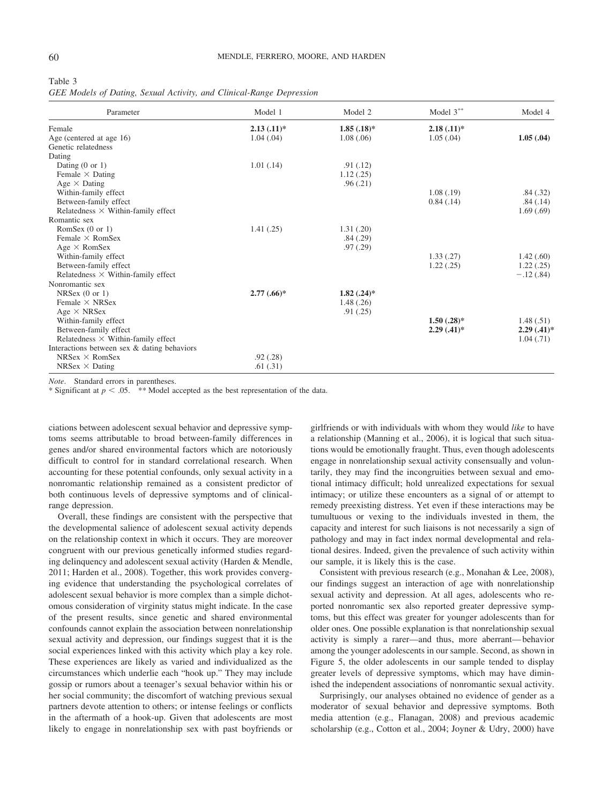<span id="page-9-0"></span>Table 3 *GEE Models of Dating, Sexual Activity, and Clinical-Range Depression*

| Parameter                                   | Model 1       | Model 2         | Model $3**$   | Model 4       |
|---------------------------------------------|---------------|-----------------|---------------|---------------|
| Female                                      | $2.13(0.11)*$ | $1.85(.18)$ *   | $2.18(0.11)*$ |               |
| Age (centered at age 16)                    | 1.04(0.04)    | 1.08(.06)       | 1.05(.04)     | 1.05(.04)     |
| Genetic relatedness                         |               |                 |               |               |
| Dating                                      |               |                 |               |               |
| Dating $(0 \text{ or } 1)$                  | 1.01(0.14)    | .91(.12)        |               |               |
| Female $\times$ Dating                      |               | 1.12(.25)       |               |               |
| Age $\times$ Dating                         |               | .96(.21)        |               |               |
| Within-family effect                        |               |                 | 1.08(.19)     | .84(.32)      |
| Between-family effect                       |               |                 | 0.84(0.14)    | .84(.14)      |
| Relatedness $\times$ Within-family effect   |               |                 |               | 1.69(.69)     |
| Romantic sex                                |               |                 |               |               |
| RomSex $(0 \text{ or } 1)$                  | 1.41(.25)     | 1.31(.20)       |               |               |
| Female $\times$ RomSex                      |               | .84(.29)        |               |               |
| Age $\times$ RomSex                         |               | .97(.29)        |               |               |
| Within-family effect                        |               |                 | 1.33(.27)     | 1.42(0.60)    |
| Between-family effect                       |               |                 | 1.22(.25)     | 1.22(.25)     |
| Relatedness $\times$ Within-family effect   |               |                 |               | $-.12(.84)$   |
| Nonromantic sex                             |               |                 |               |               |
| NRSex $(0 \text{ or } 1)$                   | $2.77(.66)^*$ | $1.82$ $(.24)*$ |               |               |
| Female $\times$ NRSex                       |               | 1.48(.26)       |               |               |
| Age $\times$ NRSex                          |               | .91(.25)        |               |               |
| Within-family effect                        |               |                 | $1.50(.28)$ * | 1.48(.51)     |
| Between-family effect                       |               |                 | $2.29(.41)$ * | $2.29(.41)$ * |
| Relatedness $\times$ Within-family effect   |               |                 |               | 1.04(0.71)    |
| Interactions between sex & dating behaviors |               |                 |               |               |
| $NRSex \times RomSex$                       | .92(.28)      |                 |               |               |
| NRSex $\times$ Dating                       | .61(.31)      |                 |               |               |

*Note*. Standard errors in parentheses.

\* Significant at  $p < .05$ . \*\* Model accepted as the best representation of the data.

ciations between adolescent sexual behavior and depressive symptoms seems attributable to broad between-family differences in genes and/or shared environmental factors which are notoriously difficult to control for in standard correlational research. When accounting for these potential confounds, only sexual activity in a nonromantic relationship remained as a consistent predictor of both continuous levels of depressive symptoms and of clinicalrange depression.

Overall, these findings are consistent with the perspective that the developmental salience of adolescent sexual activity depends on the relationship context in which it occurs. They are moreover congruent with our previous genetically informed studies regarding delinquency and adolescent sexual activity [\(Harden & Mendle,](#page-11-31) [2011;](#page-11-31) [Harden et al., 2008\)](#page-11-30). Together, this work provides converging evidence that understanding the psychological correlates of adolescent sexual behavior is more complex than a simple dichotomous consideration of virginity status might indicate. In the case of the present results, since genetic and shared environmental confounds cannot explain the association between nonrelationship sexual activity and depression, our findings suggest that it is the social experiences linked with this activity which play a key role. These experiences are likely as varied and individualized as the circumstances which underlie each "hook up." They may include gossip or rumors about a teenager's sexual behavior within his or her social community; the discomfort of watching previous sexual partners devote attention to others; or intense feelings or conflicts in the aftermath of a hook-up. Given that adolescents are most likely to engage in nonrelationship sex with past boyfriends or

girlfriends or with individuals with whom they would *like* to have a relationship [\(Manning et al., 2006\)](#page-11-6), it is logical that such situations would be emotionally fraught. Thus, even though adolescents engage in nonrelationship sexual activity consensually and voluntarily, they may find the incongruities between sexual and emotional intimacy difficult; hold unrealized expectations for sexual intimacy; or utilize these encounters as a signal of or attempt to remedy preexisting distress. Yet even if these interactions may be tumultuous or vexing to the individuals invested in them, the capacity and interest for such liaisons is not necessarily a sign of pathology and may in fact index normal developmental and relational desires. Indeed, given the prevalence of such activity within our sample, it is likely this is the case.

Consistent with previous research (e.g., [Monahan & Lee, 2008\)](#page-11-12), our findings suggest an interaction of age with nonrelationship sexual activity and depression. At all ages, adolescents who reported nonromantic sex also reported greater depressive symptoms, but this effect was greater for younger adolescents than for older ones. One possible explanation is that nonrelationship sexual activity is simply a rarer—and thus, more aberrant— behavior among the younger adolescents in our sample. Second, as shown in [Figure 5,](#page-8-0) the older adolescents in our sample tended to display greater levels of depressive symptoms, which may have diminished the independent associations of nonromantic sexual activity.

Surprisingly, our analyses obtained no evidence of gender as a moderator of sexual behavior and depressive symptoms. Both media attention (e.g., [Flanagan, 2008\)](#page-11-36) and previous academic scholarship (e.g., [Cotton et al., 2004;](#page-10-12) [Joyner & Udry, 2000\)](#page-11-0) have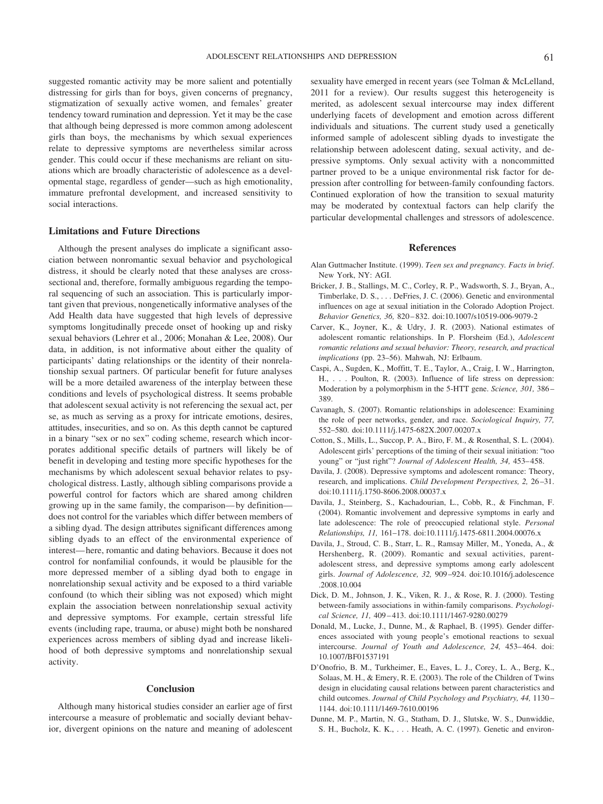suggested romantic activity may be more salient and potentially distressing for girls than for boys, given concerns of pregnancy, stigmatization of sexually active women, and females' greater tendency toward rumination and depression. Yet it may be the case that although being depressed is more common among adolescent girls than boys, the mechanisms by which sexual experiences relate to depressive symptoms are nevertheless similar across gender. This could occur if these mechanisms are reliant on situations which are broadly characteristic of adolescence as a developmental stage, regardless of gender—such as high emotionality, immature prefrontal development, and increased sensitivity to social interactions.

# **Limitations and Future Directions**

Although the present analyses do implicate a significant association between nonromantic sexual behavior and psychological distress, it should be clearly noted that these analyses are crosssectional and, therefore, formally ambiguous regarding the temporal sequencing of such an association. This is particularly important given that previous, nongenetically informative analyses of the Add Health data have suggested that high levels of depressive symptoms longitudinally precede onset of hooking up and risky sexual behaviors [\(Lehrer et al., 2006;](#page-11-13) [Monahan & Lee, 2008\)](#page-11-12). Our data, in addition, is not informative about either the quality of participants' dating relationships or the identity of their nonrelationship sexual partners. Of particular benefit for future analyses will be a more detailed awareness of the interplay between these conditions and levels of psychological distress. It seems probable that adolescent sexual activity is not referencing the sexual act, per se, as much as serving as a proxy for intricate emotions, desires, attitudes, insecurities, and so on. As this depth cannot be captured in a binary "sex or no sex" coding scheme, research which incorporates additional specific details of partners will likely be of benefit in developing and testing more specific hypotheses for the mechanisms by which adolescent sexual behavior relates to psychological distress. Lastly, although sibling comparisons provide a powerful control for factors which are shared among children growing up in the same family, the comparison— by definition does not control for the variables which differ between members of a sibling dyad. The design attributes significant differences among sibling dyads to an effect of the environmental experience of interest— here, romantic and dating behaviors. Because it does not control for nonfamilial confounds, it would be plausible for the more depressed member of a sibling dyad both to engage in nonrelationship sexual activity and be exposed to a third variable confound (to which their sibling was not exposed) which might explain the association between nonrelationship sexual activity and depressive symptoms. For example, certain stressful life events (including rape, trauma, or abuse) might both be nonshared experiences across members of sibling dyad and increase likelihood of both depressive symptoms and nonrelationship sexual activity.

# **Conclusion**

Although many historical studies consider an earlier age of first intercourse a measure of problematic and socially deviant behavior, divergent opinions on the nature and meaning of adolescent sexuality have emerged in recent years (see [Tolman & McLelland,](#page-12-3) [2011 for a review\)](#page-12-3). Our results suggest this heterogeneity is merited, as adolescent sexual intercourse may index different underlying facets of development and emotion across different individuals and situations. The current study used a genetically informed sample of adolescent sibling dyads to investigate the relationship between adolescent dating, sexual activity, and depressive symptoms. Only sexual activity with a noncommitted partner proved to be a unique environmental risk factor for depression after controlling for between-family confounding factors. Continued exploration of how the transition to sexual maturity may be moderated by contextual factors can help clarify the particular developmental challenges and stressors of adolescence.

#### **References**

- <span id="page-10-3"></span>Alan Guttmacher Institute. (1999). *Teen sex and pregnancy. Facts in brief*. New York, NY: AGI.
- <span id="page-10-8"></span>Bricker, J. B., Stallings, M. C., Corley, R. P., Wadsworth, S. J., Bryan, A., Timberlake, D. S.,... DeFries, J. C. (2006). Genetic and environmental influences on age at sexual initiation in the Colorado Adoption Project. *Behavior Genetics, 36,* 820 – 832. [doi:10.1007/s10519-006-9079-2](http://dx.doi.org/10.1007/s10519-006-9079-2)
- <span id="page-10-0"></span>Carver, K., Joyner, K., & Udry, J. R. (2003). National estimates of adolescent romantic relationships. In P. Florsheim (Ed.), *Adolescent romantic relations and sexual behavior: Theory, research, and practical implications* (pp. 23–56). Mahwah, NJ: Erlbaum.
- <span id="page-10-7"></span>Caspi, A., Sugden, K., Moffitt, T. E., Taylor, A., Craig, I. W., Harrington, H., . . . Poulton, R. (2003). Influence of life stress on depression: Moderation by a polymorphism in the 5-HTT gene. *Science, 301,* 386 – 389.
- <span id="page-10-10"></span>Cavanagh, S. (2007). Romantic relationships in adolescence: Examining the role of peer networks, gender, and race. *Sociological Inquiry, 77,* 552–580. [doi:10.1111/j.1475-682X.2007.00207.x](http://dx.doi.org/10.1111/j.1475-682X.2007.00207.x)
- <span id="page-10-12"></span>Cotton, S., Mills, L., Succop, P. A., Biro, F. M., & Rosenthal, S. L. (2004). Adolescent girls' perceptions of the timing of their sexual initiation: "too young" or "just right"? *Journal of Adolescent Health, 34,* 453– 458.
- <span id="page-10-1"></span>Davila, J. (2008). Depressive symptoms and adolescent romance: Theory, research, and implications. *Child Development Perspectives, 2,* 26 –31. [doi:10.1111/j.1750-8606.2008.00037.x](http://dx.doi.org/10.1111/j.1750-8606.2008.00037.x)
- <span id="page-10-2"></span>Davila, J., Steinberg, S., Kachadourian, L., Cobb, R., & Finchman, F. (2004). Romantic involvement and depressive symptoms in early and late adolescence: The role of preoccupied relational style. *Personal Relationships, 11,* 161–178. [doi:10.1111/j.1475-6811.2004.00076.x](http://dx.doi.org/10.1111/j.1475-6811.2004.00076.x)
- <span id="page-10-4"></span>Davila, J., Stroud, C. B., Starr, L. R., Ramsay Miller, M., Yoneda, A., & Hershenberg, R. (2009). Romantic and sexual activities, parentadolescent stress, and depressive symptoms among early adolescent girls. *Journal of Adolescence, 32,* 909 –924. [doi:10.1016/j.adolescence](http://dx.doi.org/10.1016/j.adolescence.2008.10.004) [.2008.10.004](http://dx.doi.org/10.1016/j.adolescence.2008.10.004)
- <span id="page-10-11"></span>Dick, D. M., Johnson, J. K., Viken, R. J., & Rose, R. J. (2000). Testing between-family associations in within-family comparisons. *Psychological Science, 11,* 409 – 413. [doi:10.1111/1467-9280.00279](http://dx.doi.org/10.1111/1467-9280.00279)
- <span id="page-10-5"></span>Donald, M., Lucke, J., Dunne, M., & Raphael, B. (1995). Gender differences associated with young people's emotional reactions to sexual intercourse. *Journal of Youth and Adolescence, 24,* 453– 464. [doi:](http://dx.doi.org/10.1007/BF01537191) [10.1007/BF01537191](http://dx.doi.org/10.1007/BF01537191)
- <span id="page-10-6"></span>D'Onofrio, B. M., Turkheimer, E., Eaves, L. J., Corey, L. A., Berg, K., Solaas, M. H., & Emery, R. E. (2003). The role of the Children of Twins design in elucidating causal relations between parent characteristics and child outcomes. *Journal of Child Psychology and Psychiatry, 44,* 1130 – 1144. [doi:10.1111/1469-7610.00196](http://dx.doi.org/10.1111/1469-7610.00196)
- <span id="page-10-9"></span>Dunne, M. P., Martin, N. G., Statham, D. J., Slutske, W. S., Dunwiddie, S. H., Bucholz, K. K.,... Heath, A. C. (1997). Genetic and environ-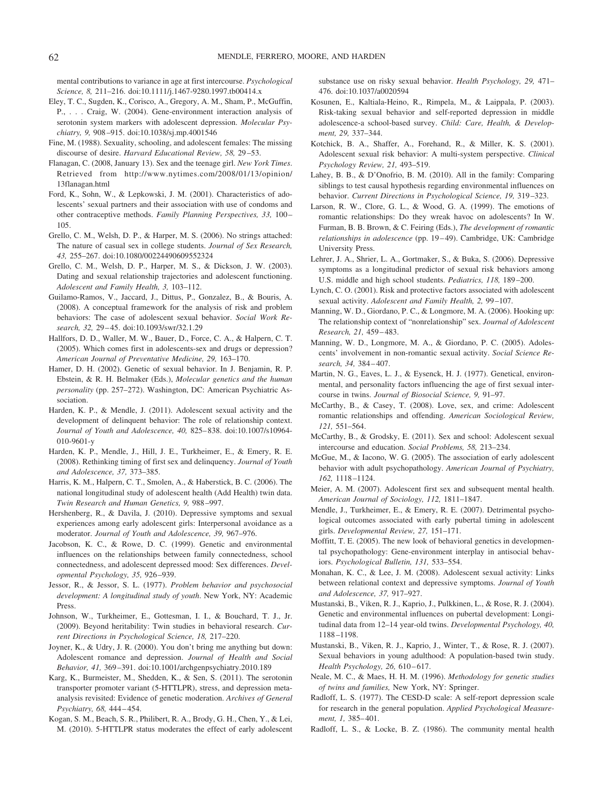mental contributions to variance in age at first intercourse. *Psychological Science, 8,* 211–216. [doi:10.1111/j.1467-9280.1997.tb00414.x](http://dx.doi.org/10.1111/j.1467-9280.1997.tb00414.x)

- <span id="page-11-24"></span>Eley, T. C., Sugden, K., Corisco, A., Gregory, A. M., Sham, P., McGuffin, P., . . . Craig, W. (2004). Gene-environment interaction analysis of serotonin system markers with adolescent depression. *Molecular Psychiatry, 9,* 908 –915. [doi:10.1038/sj.mp.4001546](http://dx.doi.org/10.1038/sj.mp.4001546)
- <span id="page-11-10"></span>Fine, M. (1988). Sexuality, schooling, and adolescent females: The missing discourse of desire. *Harvard Educational Review, 58,* 29 –53.
- <span id="page-11-36"></span>Flanagan, C. (2008, January 13). Sex and the teenage girl. *New York Times*. Retrieved from [http://www.nytimes.com/2008/01/13/opinion/](http://www.nytimes.com/2008/01/13/opinion/13flanagan.html) [13flanagan.html](http://www.nytimes.com/2008/01/13/opinion/13flanagan.html)
- Ford, K., Sohn, W., & Lepkowski, J. M. (2001). Characteristics of adolescents' sexual partners and their association with use of condoms and other contraceptive methods. *Family Planning Perspectives, 33,* 100 – 105.
- <span id="page-11-18"></span>Grello, C. M., Welsh, D. P., & Harper, M. S. (2006). No strings attached: The nature of casual sex in college students. *Journal of Sex Research, 43,* 255–267. [doi:10.1080/00224490609552324](http://dx.doi.org/10.1080/00224490609552324)
- <span id="page-11-5"></span>Grello, C. M., Welsh, D. P., Harper, M. S., & Dickson, J. W. (2003). Dating and sexual relationship trajectories and adolescent functioning. *Adolescent and Family Health, 3,* 103–112.
- <span id="page-11-8"></span>Guilamo-Ramos, V., Jaccard, J., Dittus, P., Gonzalez, B., & Bouris, A. (2008). A conceptual framework for the analysis of risk and problem behaviors: The case of adolescent sexual behavior. *Social Work Research, 32,* 29 – 45. [doi:10.1093/swr/32.1.29](http://dx.doi.org/10.1093/swr/32.1.29)
- <span id="page-11-1"></span>Hallfors, D. D., Waller, M. W., Bauer, D., Force, C. A., & Halpern, C. T. (2005). Which comes first in adolescents-sex and drugs or depression? *American Journal of Preventative Medicine, 29,* 163–170.
- <span id="page-11-28"></span>Hamer, D. H. (2002). Genetic of sexual behavior. In J. Benjamin, R. P. Ebstein, & R. H. Belmaker (Eds.), *Molecular genetics and the human personality* (pp. 257–272). Washington, DC: American Psychiatric Association.
- <span id="page-11-31"></span>Harden, K. P., & Mendle, J. (2011). Adolescent sexual activity and the development of delinquent behavior: The role of relationship context. *Journal of Youth and Adolescence, 40,* 825– 838. [doi:10.1007/s10964-](http://dx.doi.org/10.1007/s10964-010-9601-y) [010-9601-y](http://dx.doi.org/10.1007/s10964-010-9601-y)
- <span id="page-11-30"></span>Harden, K. P., Mendle, J., Hill, J. E., Turkheimer, E., & Emery, R. E. (2008). Rethinking timing of first sex and delinquency. *Journal of Youth and Adolescence, 37,* 373–385.
- <span id="page-11-32"></span>Harris, K. M., Halpern, C. T., Smolen, A., & Haberstick, B. C. (2006). The national longitudinal study of adolescent health (Add Health) twin data. *Twin Research and Human Genetics, 9,* 988 –997.
- <span id="page-11-11"></span>Hershenberg, R., & Davila, J. (2010). Depressive symptoms and sexual experiences among early adolescent girls: Interpersonal avoidance as a moderator. *Journal of Youth and Adolescence, 39,* 967–976.
- <span id="page-11-33"></span>Jacobson, K. C., & Rowe, D. C. (1999). Genetic and environmental influences on the relationships between family connectedness, school connectedness, and adolescent depressed mood: Sex differences. *Developmental Psychology, 35,* 926 –939.
- <span id="page-11-9"></span>Jessor, R., & Jessor, S. L. (1977). *Problem behavior and psychosocial development: A longitudinal study of youth*. New York, NY: Academic Press.
- <span id="page-11-19"></span>Johnson, W., Turkheimer, E., Gottesman, I. I., & Bouchard, T. J., Jr. (2009). Beyond heritability: Twin studies in behavioral research. *Current Directions in Psychological Science, 18,* 217–220.
- <span id="page-11-0"></span>Joyner, K., & Udry, J. R. (2000). You don't bring me anything but down: Adolescent romance and depression. *Journal of Health and Social Behavior, 41,* 369 –391. [doi:10.1001/archgenpsychiatry.2010.189](http://dx.doi.org/10.1001/archgenpsychiatry.2010.189)
- <span id="page-11-25"></span>Karg, K., Burmeister, M., Shedden, K., & Sen, S. (2011). The serotonin transporter promoter variant (5-HTTLPR), stress, and depression metaanalysis revisited: Evidence of genetic moderation. *Archives of General Psychiatry, 68,* 444 – 454.
- <span id="page-11-29"></span>Kogan, S. M., Beach, S. R., Philibert, R. A., Brody, G. H., Chen, Y., & Lei, M. (2010). 5-HTTLPR status moderates the effect of early adolescent

substance use on risky sexual behavior. *Health Psychology, 29,* 471– 476. [doi:10.1037/a0020594](http://dx.doi.org/10.1037/a0020594)

- <span id="page-11-14"></span>Kosunen, E., Kaltiala-Heino, R., Rimpela, M., & Laippala, P. (2003). Risk-taking sexual behavior and self-reported depression in middle adolescence-a school-based survey. *Child: Care, Health, & Development, 29,* 337–344.
- Kotchick, B. A., Shaffer, A., Forehand, R., & Miller, K. S. (2001). Adolescent sexual risk behavior: A multi-system perspective. *Clinical Psychology Review, 21,* 493–519.
- <span id="page-11-20"></span>Lahey, B. B., & D'Onofrio, B. M. (2010). All in the family: Comparing siblings to test causal hypothesis regarding environmental influences on behavior. *Current Directions in Psychological Science, 19,* 319 –323.
- <span id="page-11-4"></span>Larson, R. W., Clore, G. L., & Wood, G. A. (1999). The emotions of romantic relationships: Do they wreak havoc on adolescents? In W. Furman, B. B. Brown, & C. Feiring (Eds.), *The development of romantic relationships in adolescence* (pp. 19 – 49). Cambridge, UK: Cambridge University Press.
- <span id="page-11-13"></span>Lehrer, J. A., Shrier, L. A., Gortmaker, S., & Buka, S. (2006). Depressive symptoms as a longitudinal predictor of sexual risk behaviors among U.S. middle and high school students. *Pediatrics, 118,* 189 –200.
- <span id="page-11-2"></span>Lynch, C. O. (2001). Risk and protective factors associated with adolescent sexual activity. *Adolescent and Family Health, 2,* 99 –107.
- <span id="page-11-6"></span>Manning, W. D., Giordano, P. C., & Longmore, M. A. (2006). Hooking up: The relationship context of "nonrelationship" sex. *Journal of Adolescent Research, 21,* 459 – 483.
- <span id="page-11-7"></span>Manning, W. D., Longmore, M. A., & Giordano, P. C. (2005). Adolescents' involvement in non-romantic sexual activity. *Social Science Research, 34,* 384 – 407.
- <span id="page-11-26"></span>Martin, N. G., Eaves, L. J., & Eysenck, H. J. (1977). Genetical, environmental, and personality factors influencing the age of first sexual intercourse in twins. *Journal of Biosocial Science, 9,* 91–97.
- <span id="page-11-15"></span>McCarthy, B., & Casey, T. (2008). Love, sex, and crime: Adolescent romantic relationships and offending. *American Sociological Review, 121,* 551–564.
- <span id="page-11-16"></span>McCarthy, B., & Grodsky, E. (2011). Sex and school: Adolescent sexual intercourse and education. *Social Problems, 58,* 213–234.
- <span id="page-11-3"></span>McGue, M., & Iacono, W. G. (2005). The association of early adolescent behavior with adult psychopathology. *American Journal of Psychiatry, 162,* 1118 –1124.
- <span id="page-11-17"></span>Meier, A. M. (2007). Adolescent first sex and subsequent mental health. *American Journal of Sociology, 112,* 1811–1847.
- <span id="page-11-21"></span>Mendle, J., Turkheimer, E., & Emery, R. E. (2007). Detrimental psychological outcomes associated with early pubertal timing in adolescent girls. *Developmental Review, 27,* 151–171.
- Moffitt, T. E. (2005). The new look of behavioral genetics in developmental psychopathology: Gene-environment interplay in antisocial behaviors. *Psychological Bulletin, 131,* 533–554.
- <span id="page-11-12"></span>Monahan, K. C., & Lee, J. M. (2008). Adolescent sexual activity: Links between relational context and depressive symptoms. *Journal of Youth and Adolescence, 37,* 917–927.
- <span id="page-11-22"></span>Mustanski, B., Viken, R. J., Kaprio, J., Pulkkinen, L., & Rose, R. J. (2004). Genetic and environmental influences on pubertal development: Longitudinal data from 12–14 year-old twins. *Developmental Psychology, 40,* 1188 –1198.
- <span id="page-11-27"></span>Mustanski, B., Viken, R. J., Kaprio, J., Winter, T., & Rose, R. J. (2007). Sexual behaviors in young adulthood: A population-based twin study. *Health Psychology, 26, 610-617.*
- <span id="page-11-23"></span>Neale, M. C., & Maes, H. H. M. (1996). *Methodology for genetic studies of twins and families,* New York, NY: Springer.
- <span id="page-11-34"></span>Radloff, L. S. (1977). The CESD-D scale: A self-report depression scale for research in the general population. *Applied Psychological Measurement, 1,* 385– 401.
- <span id="page-11-35"></span>Radloff, L. S., & Locke, B. Z. (1986). The community mental health